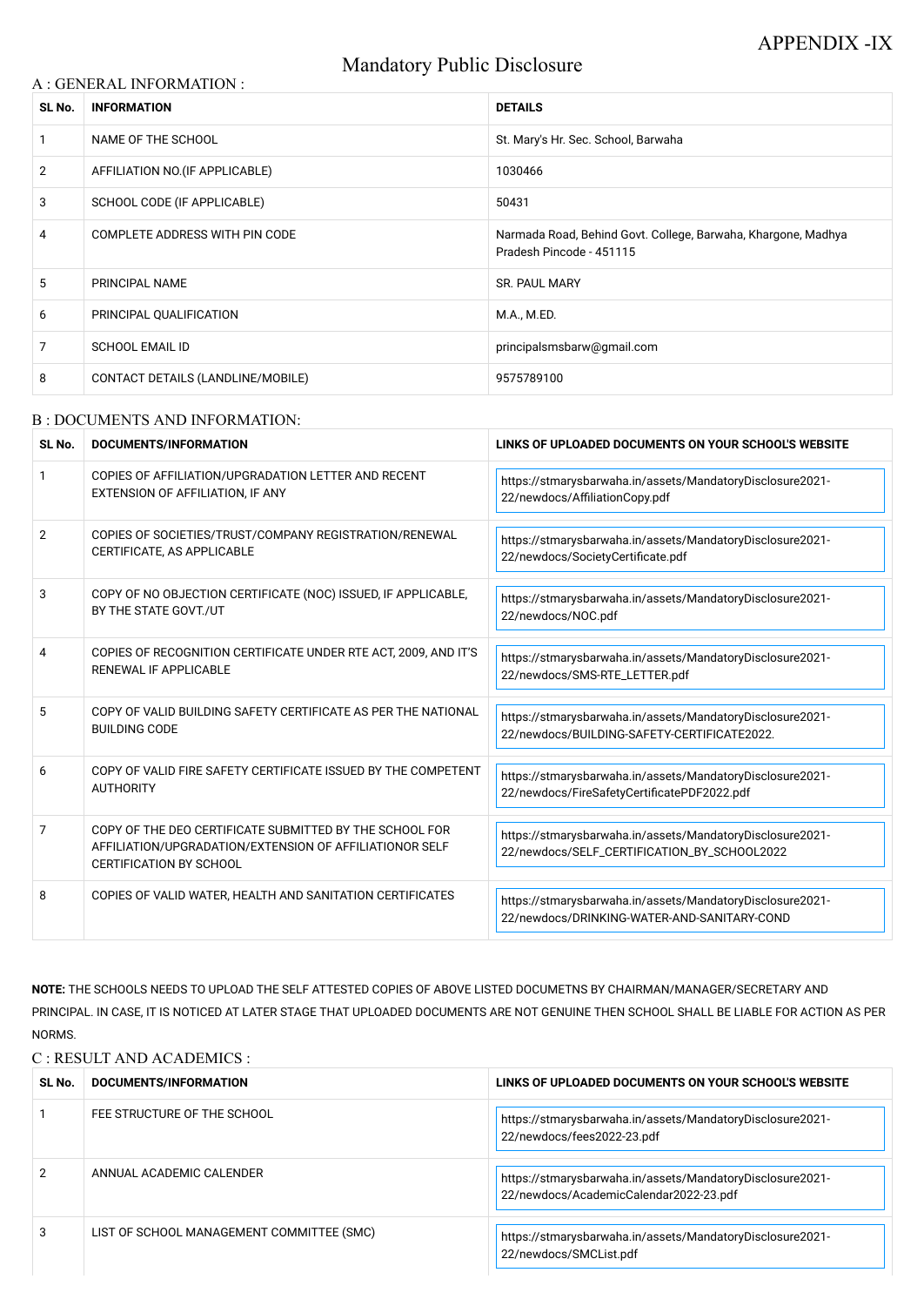# Mandatory Public Disclosure

### A : GENERAL INFORMATION :

| SL No.         | <b>INFORMATION</b>                 | <b>DETAILS</b>                                                                            |
|----------------|------------------------------------|-------------------------------------------------------------------------------------------|
|                | NAME OF THE SCHOOL                 | St. Mary's Hr. Sec. School, Barwaha                                                       |
| $\overline{2}$ | AFFILIATION NO. (IF APPLICABLE)    | 1030466                                                                                   |
| 3              | <b>SCHOOL CODE (IF APPLICABLE)</b> | 50431                                                                                     |
| 4              | COMPLETE ADDRESS WITH PIN CODE     | Narmada Road, Behind Govt. College, Barwaha, Khargone, Madhya<br>Pradesh Pincode - 451115 |
| 5              | PRINCIPAL NAME                     | <b>SR. PAUL MARY</b>                                                                      |
| 6              | PRINCIPAL QUALIFICATION            | M.A., M.ED.                                                                               |
| $\overline{7}$ | <b>SCHOOL EMAIL ID</b>             | principalsmsbarw@gmail.com                                                                |
| 8              | CONTACT DETAILS (LANDLINE/MOBILE)  | 9575789100                                                                                |

#### B : DOCUMENTS AND INFORMATION:

| SL No.         | <b>DOCUMENTS/INFORMATION</b>                                                                                                                         | LINKS OF UPLOADED DOCUMENTS ON YOUR SCHOOL'S WEBSITE                                                     |  |
|----------------|------------------------------------------------------------------------------------------------------------------------------------------------------|----------------------------------------------------------------------------------------------------------|--|
| $\mathbf 1$    | COPIES OF AFFILIATION/UPGRADATION LETTER AND RECENT<br>EXTENSION OF AFFILIATION, IF ANY                                                              | https://stmarysbarwaha.in/assets/MandatoryDisclosure2021-<br>22/newdocs/AffiliationCopy.pdf              |  |
| $\overline{2}$ | COPIES OF SOCIETIES/TRUST/COMPANY REGISTRATION/RENEWAL<br>CERTIFICATE, AS APPLICABLE                                                                 | https://stmarysbarwaha.in/assets/MandatoryDisclosure2021-<br>22/newdocs/SocietyCertificate.pdf           |  |
| 3              | COPY OF NO OBJECTION CERTIFICATE (NOC) ISSUED, IF APPLICABLE,<br>BY THE STATE GOVT./UT                                                               | https://stmarysbarwaha.in/assets/MandatoryDisclosure2021-<br>22/newdocs/NOC.pdf                          |  |
| 4              | COPIES OF RECOGNITION CERTIFICATE UNDER RTE ACT, 2009, AND IT'S<br><b>RENEWAL IF APPLICABLE</b>                                                      | https://stmarysbarwaha.in/assets/MandatoryDisclosure2021-<br>22/newdocs/SMS-RTE_LETTER.pdf               |  |
| 5              | COPY OF VALID BUILDING SAFETY CERTIFICATE AS PER THE NATIONAL<br><b>BUILDING CODE</b>                                                                | https://stmarysbarwaha.in/assets/MandatoryDisclosure2021-<br>22/newdocs/BUILDING-SAFETY-CERTIFICATE2022. |  |
| 6              | COPY OF VALID FIRE SAFETY CERTIFICATE ISSUED BY THE COMPETENT<br><b>AUTHORITY</b>                                                                    | https://stmarysbarwaha.in/assets/MandatoryDisclosure2021-<br>22/newdocs/FireSafetyCertificatePDF2022.pdf |  |
| 7              | COPY OF THE DEO CERTIFICATE SUBMITTED BY THE SCHOOL FOR<br>AFFILIATION/UPGRADATION/EXTENSION OF AFFILIATIONOR SELF<br><b>CERTIFICATION BY SCHOOL</b> | https://stmarysbarwaha.in/assets/MandatoryDisclosure2021-<br>22/newdocs/SELF_CERTIFICATION_BY_SCHOOL2022 |  |
| 8              | COPIES OF VALID WATER, HEALTH AND SANITATION CERTIFICATES                                                                                            | https://stmarysbarwaha.in/assets/MandatoryDisclosure2021-<br>22/newdocs/DRINKING-WATER-AND-SANITARY-COND |  |

NOTE: THE SCHOOLS NEEDS TO UPLOAD THE SELF ATTESTED COPIES OF ABOVE LISTED DOCUMETNS BY CHAIRMAN/MANAGER/SECRETARY AND PRINCIPAL. IN CASE, IT IS NOTICED AT LATER STAGE THAT UPLOADED DOCUMENTS ARE NOT GENUINE THEN SCHOOL SHALL BE LIABLE FOR ACTION AS PER NORMS.

### C : RESULT AND ACADEMICS :

| SL No. | DOCUMENTS/INFORMATION                     | LINKS OF UPLOADED DOCUMENTS ON YOUR SCHOOL'S WEBSITE                                                |
|--------|-------------------------------------------|-----------------------------------------------------------------------------------------------------|
|        | FEE STRUCTURE OF THE SCHOOL               | https://stmarysbarwaha.in/assets/MandatoryDisclosure2021-<br>22/newdocs/fees2022-23.pdf             |
| 2      | ANNUAL ACADEMIC CALENDER                  | https://stmarysbarwaha.in/assets/MandatoryDisclosure2021-<br>22/newdocs/AcademicCalendar2022-23.pdf |
| 3      | LIST OF SCHOOL MANAGEMENT COMMITTEE (SMC) | https://stmarysbarwaha.in/assets/MandatoryDisclosure2021-<br>22/newdocs/SMCList.pdf                 |